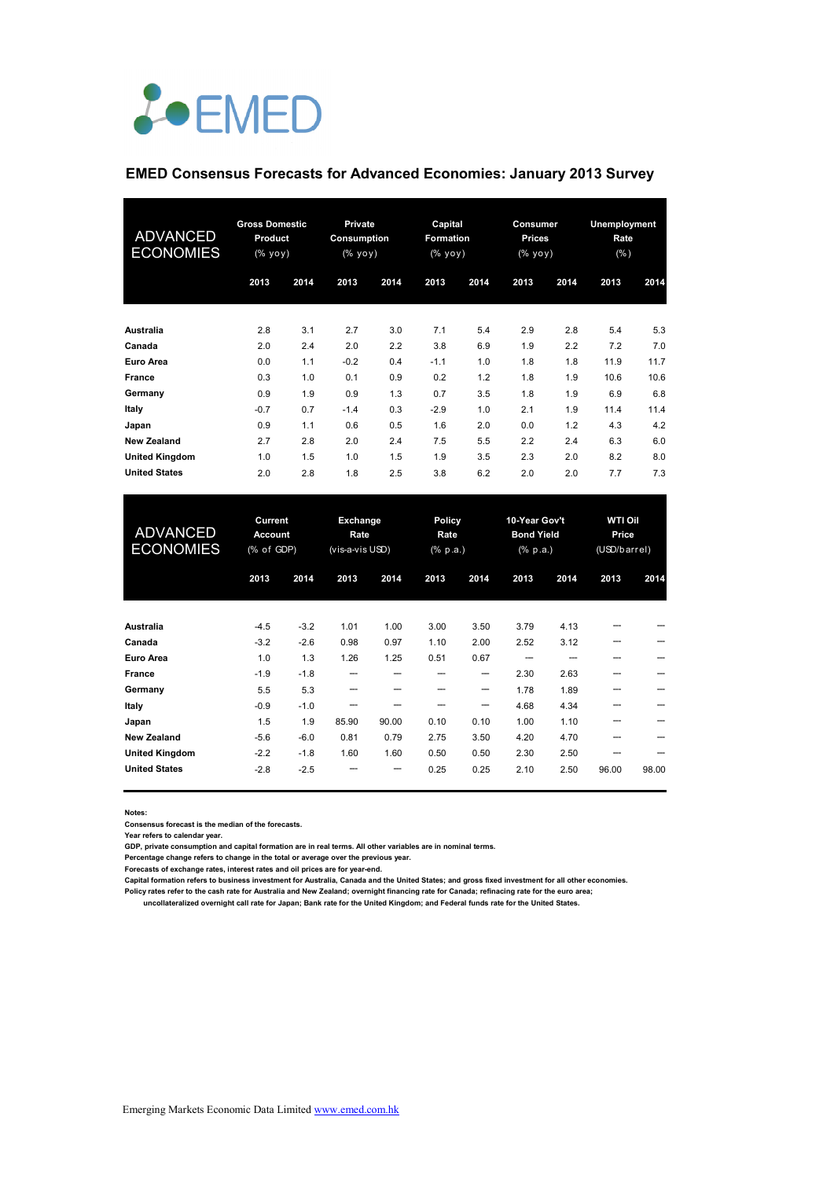# *L*•EMED

#### **EMED Consensus Forecasts for Advanced Economies: January 2013 Survey**

| ADVANCED<br><b>ECONOMIES</b> | <b>Gross Domestic</b><br>Product<br>(% yoy) |      | <b>Private</b><br><b>Consumption</b><br>(% yoy) |      | Capital<br><b>Formation</b><br>(% уоу) |      | Consumer<br><b>Prices</b><br>(% yoy) |      | <b>Unemployment</b><br>Rate<br>(% ) |      |
|------------------------------|---------------------------------------------|------|-------------------------------------------------|------|----------------------------------------|------|--------------------------------------|------|-------------------------------------|------|
|                              | 2013                                        | 2014 | 2013                                            | 2014 | 2013                                   | 2014 | 2013                                 | 2014 | 2013                                | 2014 |
| Australia                    | 2.8                                         | 3.1  | 2.7                                             | 3.0  | 7.1                                    | 5.4  | 2.9                                  | 2.8  | 5.4                                 | 5.3  |
| Canada                       | 2.0                                         | 2.4  | 2.0                                             | 2.2  | 3.8                                    | 6.9  | 1.9                                  | 2.2  | 7.2                                 | 7.0  |
| <b>Euro Area</b>             | 0.0                                         | 1.1  | $-0.2$                                          | 0.4  | $-1.1$                                 | 1.0  | 1.8                                  | 1.8  | 11.9                                | 11.7 |
| <b>France</b>                | 0.3                                         | 1.0  | 0.1                                             | 0.9  | 0.2                                    | 1.2  | 1.8                                  | 1.9  | 10.6                                | 10.6 |
| Germany                      | 0.9                                         | 1.9  | 0.9                                             | 1.3  | 0.7                                    | 3.5  | 1.8                                  | 1.9  | 6.9                                 | 6.8  |
| Italy                        | $-0.7$                                      | 0.7  | $-1.4$                                          | 0.3  | $-2.9$                                 | 1.0  | 2.1                                  | 1.9  | 11.4                                | 11.4 |
| Japan                        | 0.9                                         | 1.1  | 0.6                                             | 0.5  | 1.6                                    | 2.0  | 0.0                                  | 1.2  | 4.3                                 | 4.2  |
| <b>New Zealand</b>           | 2.7                                         | 2.8  | 2.0                                             | 2.4  | 7.5                                    | 5.5  | 2.2                                  | 2.4  | 6.3                                 | 6.0  |
| <b>United Kingdom</b>        | 1.0                                         | 1.5  | 1.0                                             | 1.5  | 1.9                                    | 3.5  | 2.3                                  | 2.0  | 8.2                                 | 8.0  |
| <b>United States</b>         | 2.0                                         | 2.8  | 1.8                                             | 2.5  | 3.8                                    | 6.2  | 2.0                                  | 2.0  | 7.7                                 | 7.3  |

| <b>ADVANCED</b><br><b>ECONOMIES</b> | Current<br><b>Account</b><br>(% of GDP) |        | Exchange<br>Rate<br>(vis-a-vis USD) |       | <b>Policy</b><br>Rate<br>(% p.a.) |      | 10-Year Gov't<br><b>Bond Yield</b><br>$(% \mathbf{a})$ (% p.a.) |      | <b>WTI Oil</b><br>Price<br>(USD/barrel) |       |
|-------------------------------------|-----------------------------------------|--------|-------------------------------------|-------|-----------------------------------|------|-----------------------------------------------------------------|------|-----------------------------------------|-------|
|                                     | 2013                                    | 2014   | 2013                                | 2014  | 2013                              | 2014 | 2013                                                            | 2014 | 2013                                    | 2014  |
| Australia                           | $-4.5$                                  | $-3.2$ | 1.01                                | 1.00  | 3.00                              | 3.50 | 3.79                                                            | 4.13 |                                         |       |
| Canada                              | $-3.2$                                  | $-2.6$ | 0.98                                | 0.97  | 1.10                              | 2.00 | 2.52                                                            | 3.12 |                                         |       |
| Euro Area                           | 1.0                                     | 1.3    | 1.26                                | 1.25  | 0.51                              | 0.67 |                                                                 |      |                                         |       |
| <b>France</b>                       | $-1.9$                                  | $-1.8$ | ---                                 |       |                                   | --   | 2.30                                                            | 2.63 |                                         |       |
| Germany                             | 5.5                                     | 5.3    | --                                  |       |                                   | --   | 1.78                                                            | 1.89 |                                         |       |
| Italy                               | $-0.9$                                  | $-1.0$ |                                     |       |                                   | ---  | 4.68                                                            | 4.34 |                                         |       |
| Japan                               | 1.5                                     | 1.9    | 85.90                               | 90.00 | 0.10                              | 0.10 | 1.00                                                            | 1.10 |                                         |       |
| <b>New Zealand</b>                  | $-5.6$                                  | $-6.0$ | 0.81                                | 0.79  | 2.75                              | 3.50 | 4.20                                                            | 4.70 |                                         |       |
| <b>United Kingdom</b>               | $-2.2$                                  | $-1.8$ | 1.60                                | 1.60  | 0.50                              | 0.50 | 2.30                                                            | 2.50 |                                         |       |
| <b>United States</b>                | $-2.8$                                  | $-2.5$ |                                     | ---   | 0.25                              | 0.25 | 2.10                                                            | 2.50 | 96.00                                   | 98.00 |

**Notes:** 

**Consensus forecast is the median of the forecasts.**

**Year refers to calendar year.**

**GDP, private consumption and capital formation are in real terms. All other variables are in nominal terms.**

**Percentage change refers to change in the total or average over the previous year.**

**Forecasts of exchange rates, interest rates and oil prices are for year-end.**

**Capital formation refers to business investment for Australia, Canada and the United States; and gross fixed investment for all other economies. Policy rates refer to the cash rate for Australia and New Zealand; overnight financing rate for Canada; refinacing rate for the euro area;** 

 **uncollateralized overnight call rate for Japan; Bank rate for the United Kingdom; and Federal funds rate for the United States.**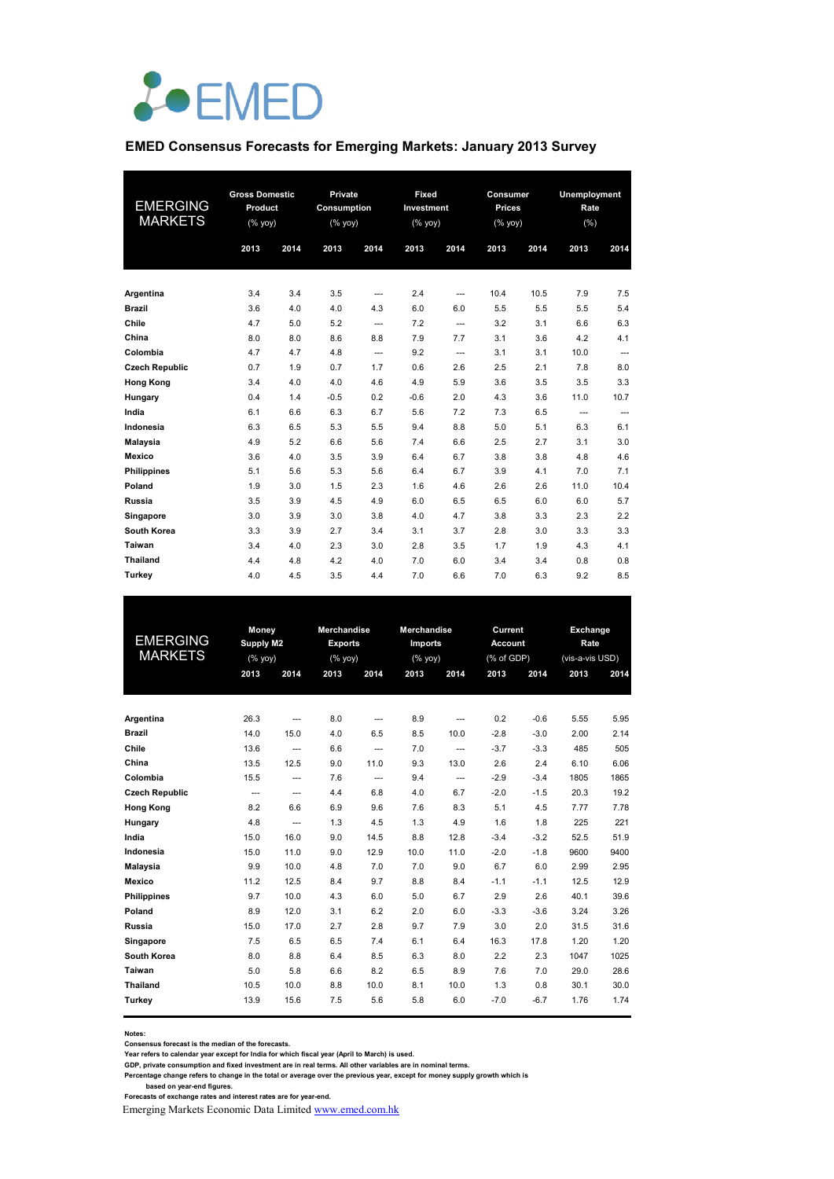

#### **EMED Consensus Forecasts for Emerging Markets: January 2013 Survey**

| EMERGING<br><b>MARKETS</b> | <b>Gross Domestic</b><br>Product<br>$(\%$ yoy) |      |        |          |        | Private<br><b>Consumption</b><br>$(\%$ yoy) |      | Fixed<br>Investment<br>(% yoy) |      | Consumer<br><b>Prices</b><br>$(% \mathsf{Y}^{\prime }\mathsf{Y}^{\prime }\mathsf{Y}^{\prime })$ |  | Unemployment<br>Rate<br>(%) |  |
|----------------------------|------------------------------------------------|------|--------|----------|--------|---------------------------------------------|------|--------------------------------|------|-------------------------------------------------------------------------------------------------|--|-----------------------------|--|
|                            | 2013                                           | 2014 | 2013   | 2014     | 2013   | 2014                                        | 2013 | 2014                           | 2013 | 2014                                                                                            |  |                             |  |
| Argentina                  | 3.4                                            | 3.4  | 3.5    | ---      | 2.4    | ---                                         | 10.4 | 10.5                           | 7.9  | 7.5                                                                                             |  |                             |  |
| <b>Brazil</b>              | 3.6                                            | 4.0  | 4.0    | 4.3      | 6.0    | 6.0                                         | 5.5  | 5.5                            | 5.5  | 5.4                                                                                             |  |                             |  |
| Chile                      | 4.7                                            | 5.0  | 5.2    | ---      | 7.2    | ---                                         | 3.2  | 3.1                            | 6.6  | 6.3                                                                                             |  |                             |  |
| China                      | 8.0                                            | 8.0  | 8.6    | 8.8      | 7.9    | 7.7                                         | 3.1  | 3.6                            | 4.2  | 4.1                                                                                             |  |                             |  |
| Colombia                   | 4.7                                            | 4.7  | 4.8    | $\cdots$ | 9.2    | ---                                         | 3.1  | 3.1                            | 10.0 | ---                                                                                             |  |                             |  |
| <b>Czech Republic</b>      | 0.7                                            | 1.9  | 0.7    | 1.7      | 0.6    | 2.6                                         | 2.5  | 2.1                            | 7.8  | 8.0                                                                                             |  |                             |  |
| <b>Hong Kong</b>           | 3.4                                            | 4.0  | 4.0    | 4.6      | 4.9    | 5.9                                         | 3.6  | 3.5                            | 3.5  | 3.3                                                                                             |  |                             |  |
| Hungary                    | 0.4                                            | 1.4  | $-0.5$ | 0.2      | $-0.6$ | 2.0                                         | 4.3  | 3.6                            | 11.0 | 10.7                                                                                            |  |                             |  |
| India                      | 6.1                                            | 6.6  | 6.3    | 6.7      | 5.6    | 7.2                                         | 7.3  | 6.5                            | ---  | ---                                                                                             |  |                             |  |
| Indonesia                  | 6.3                                            | 6.5  | 5.3    | 5.5      | 9.4    | 8.8                                         | 5.0  | 5.1                            | 6.3  | 6.1                                                                                             |  |                             |  |
| <b>Malaysia</b>            | 4.9                                            | 5.2  | 6.6    | 5.6      | 7.4    | 6.6                                         | 2.5  | 2.7                            | 3.1  | 3.0                                                                                             |  |                             |  |
| <b>Mexico</b>              | 3.6                                            | 4.0  | 3.5    | 3.9      | 6.4    | 6.7                                         | 3.8  | 3.8                            | 4.8  | 4.6                                                                                             |  |                             |  |
| <b>Philippines</b>         | 5.1                                            | 5.6  | 5.3    | 5.6      | 6.4    | 6.7                                         | 3.9  | 4.1                            | 7.0  | 7.1                                                                                             |  |                             |  |
| Poland                     | 1.9                                            | 3.0  | 1.5    | 2.3      | 1.6    | 4.6                                         | 2.6  | 2.6                            | 11.0 | 10.4                                                                                            |  |                             |  |
| Russia                     | 3.5                                            | 3.9  | 4.5    | 4.9      | 6.0    | 6.5                                         | 6.5  | 6.0                            | 6.0  | 5.7                                                                                             |  |                             |  |
| Singapore                  | 3.0                                            | 3.9  | 3.0    | 3.8      | 4.0    | 4.7                                         | 3.8  | 3.3                            | 2.3  | 2.2                                                                                             |  |                             |  |
| South Korea                | 3.3                                            | 3.9  | 2.7    | 3.4      | 3.1    | 3.7                                         | 2.8  | 3.0                            | 3.3  | 3.3                                                                                             |  |                             |  |
| Taiwan                     | 3.4                                            | 4.0  | 2.3    | 3.0      | 2.8    | 3.5                                         | 1.7  | 1.9                            | 4.3  | 4.1                                                                                             |  |                             |  |
| <b>Thailand</b>            | 4.4                                            | 4.8  | 4.2    | 4.0      | 7.0    | 6.0                                         | 3.4  | 3.4                            | 0.8  | 0.8                                                                                             |  |                             |  |
| Turkey                     | 4.0                                            | 4.5  | 3.5    | 4.4      | 7.0    | 6.6                                         | 7.0  | 6.3                            | 9.2  | 8.5                                                                                             |  |                             |  |

| EMERGING<br><b>MARKETS</b> |       | Money<br>Supply M2<br>(% yoy) |      | Merchandise<br><b>Exports</b><br>(% yoy) | Merchandise<br><b>Imports</b><br>(% yoy) |                          | Current<br><b>Account</b><br>(% of GDP) |        | Exchange<br>Rate<br>(vis-a-vis USD) | 2014 |  |
|----------------------------|-------|-------------------------------|------|------------------------------------------|------------------------------------------|--------------------------|-----------------------------------------|--------|-------------------------------------|------|--|
|                            | 2013  | 2014                          | 2013 | 2014                                     | 2013                                     | 2014                     | 2013                                    | 2014   | 2013                                |      |  |
|                            |       |                               |      |                                          |                                          |                          |                                         |        |                                     |      |  |
| Argentina                  | 26.3  | $\overline{\phantom{a}}$      | 8.0  | $\overline{\phantom{a}}$                 | 8.9                                      | ---                      | 0.2                                     | $-0.6$ | 5.55                                | 5.95 |  |
| <b>Brazil</b>              | 14.0  | 15.0                          | 4.0  | 6.5                                      | 8.5                                      | 10.0                     | $-2.8$                                  | $-3.0$ | 2.00                                | 2.14 |  |
| Chile                      | 13.6  | $\overline{a}$                | 6.6  | $\overline{a}$                           | 7.0                                      | $\hspace{0.05cm} \ldots$ | $-3.7$                                  | $-3.3$ | 485                                 | 505  |  |
| China                      | 13.5  | 12.5                          | 9.0  | 11.0                                     | 9.3                                      | 13.0                     | 2.6                                     | 2.4    | 6.10                                | 6.06 |  |
| Colombia                   | 15.5  | $\cdots$                      | 7.6  | $\overline{\phantom{a}}$                 | 9.4                                      | $\hspace{0.05cm} \ldots$ | $-2.9$                                  | $-3.4$ | 1805                                | 1865 |  |
| <b>Czech Republic</b>      | $---$ | $\cdots$                      | 4.4  | 6.8                                      | 4.0                                      | 6.7                      | $-2.0$                                  | $-1.5$ | 20.3                                | 19.2 |  |
| <b>Hong Kong</b>           | 8.2   | 6.6                           | 6.9  | 9.6                                      | 7.6                                      | 8.3                      | 5.1                                     | 4.5    | 7.77                                | 7.78 |  |
| Hungary                    | 4.8   | $\overline{a}$                | 1.3  | 4.5                                      | 1.3                                      | 4.9                      | 1.6                                     | 1.8    | 225                                 | 221  |  |
| India                      | 15.0  | 16.0                          | 9.0  | 14.5                                     | 8.8                                      | 12.8                     | $-3.4$                                  | $-3.2$ | 52.5                                | 51.9 |  |
| Indonesia                  | 15.0  | 11.0                          | 9.0  | 12.9                                     | 10.0                                     | 11.0                     | $-2.0$                                  | $-1.8$ | 9600                                | 9400 |  |
| <b>Malaysia</b>            | 9.9   | 10.0                          | 4.8  | 7.0                                      | 7.0                                      | 9.0                      | 6.7                                     | 6.0    | 2.99                                | 2.95 |  |
| Mexico                     | 11.2  | 12.5                          | 8.4  | 9.7                                      | 8.8                                      | 8.4                      | $-1.1$                                  | $-1.1$ | 12.5                                | 12.9 |  |
| <b>Philippines</b>         | 9.7   | 10.0                          | 4.3  | 6.0                                      | 5.0                                      | 6.7                      | 2.9                                     | 2.6    | 40.1                                | 39.6 |  |
| Poland                     | 8.9   | 12.0                          | 3.1  | 6.2                                      | 2.0                                      | 6.0                      | $-3.3$                                  | $-3.6$ | 3.24                                | 3.26 |  |
| Russia                     | 15.0  | 17.0                          | 2.7  | 2.8                                      | 9.7                                      | 7.9                      | 3.0                                     | 2.0    | 31.5                                | 31.6 |  |
| Singapore                  | 7.5   | 6.5                           | 6.5  | 7.4                                      | 6.1                                      | 6.4                      | 16.3                                    | 17.8   | 1.20                                | 1.20 |  |
| South Korea                | 8.0   | 8.8                           | 6.4  | 8.5                                      | 6.3                                      | 8.0                      | 2.2                                     | 2.3    | 1047                                | 1025 |  |
| Taiwan                     | 5.0   | 5.8                           | 6.6  | 8.2                                      | 6.5                                      | 8.9                      | 7.6                                     | 7.0    | 29.0                                | 28.6 |  |
| <b>Thailand</b>            | 10.5  | 10.0                          | 8.8  | 10.0                                     | 8.1                                      | 10.0                     | 1.3                                     | 0.8    | 30.1                                | 30.0 |  |
| Turkey                     | 13.9  | 15.6                          | 7.5  | 5.6                                      | 5.8                                      | 6.0                      | $-7.0$                                  | $-6.7$ | 1.76                                | 1.74 |  |
|                            |       |                               |      |                                          |                                          |                          |                                         |        |                                     |      |  |

**Notes:** 

**Consensus forecast is the median of the forecasts. Year refers to calendar year except for India for which fiscal year (April to March) is used.**

**GDP, private consumption and fixed investment are in real terms. All other variables are in nominal terms.**

Percentage change refers to change in the total or average over the previous year, except for money supply growth which is<br>based on year-end figures.<br>Forecasts of exchange rates and interest rates are for year-end.

Emerging Markets Economic Data Limited www.emed.com.hk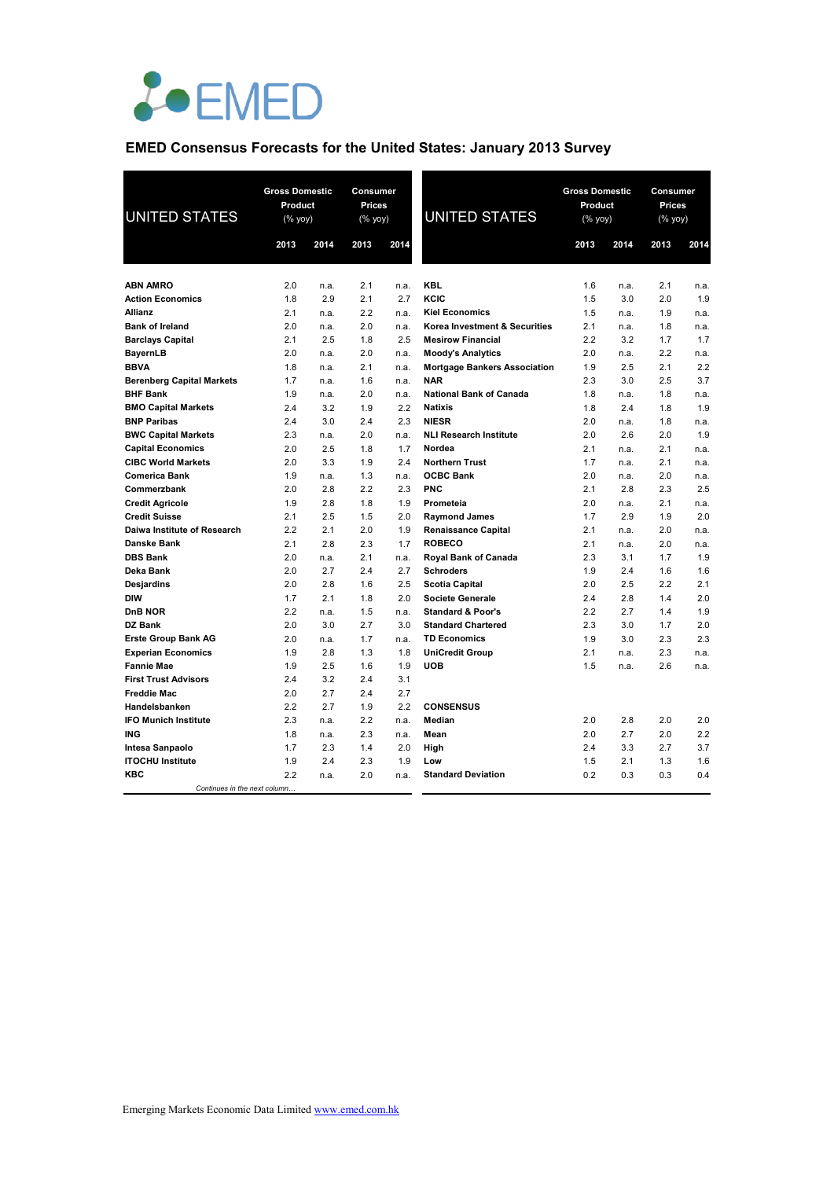

## **EMED Consensus Forecasts for the United States: January 2013 Survey**

| <b>UNITED STATES</b>                        | <b>Gross Domestic</b><br>Product<br>$(% \mathsf{Y}^{\prime }\mathsf{Y}^{\prime }\mathsf{Y}^{\prime })$ |      | Consumer<br>Prices<br>(% yoy) |      | <b>UNITED STATES</b>                | <b>Gross Domestic</b><br><b>Product</b><br>(% yoy) |      | Consumer<br>Prices<br>(% yoy) |      |  |
|---------------------------------------------|--------------------------------------------------------------------------------------------------------|------|-------------------------------|------|-------------------------------------|----------------------------------------------------|------|-------------------------------|------|--|
|                                             | 2013                                                                                                   | 2014 | 2013                          | 2014 |                                     | 2013                                               | 2014 | 2013                          | 2014 |  |
|                                             |                                                                                                        |      |                               |      |                                     |                                                    |      |                               |      |  |
| <b>ABN AMRO</b>                             | 2.0                                                                                                    | n.a. | 2.1                           | n.a. | <b>KBL</b>                          | 1.6                                                | n.a. | 2.1                           | n.a. |  |
| <b>Action Economics</b>                     | 1.8                                                                                                    | 2.9  | 2.1                           | 2.7  | KCIC                                | 1.5                                                | 3.0  | 2.0                           | 1.9  |  |
| Allianz                                     | 2.1                                                                                                    | n.a. | 2.2                           | n.a. | <b>Kiel Economics</b>               | 1.5                                                | n.a. | 1.9                           | n.a. |  |
| <b>Bank of Ireland</b>                      | 2.0                                                                                                    | n.a. | 2.0                           | n.a. | Korea Investment & Securities       | 2.1                                                | n.a. | 1.8                           | n.a. |  |
| <b>Barclays Capital</b>                     | 2.1                                                                                                    | 2.5  | 1.8                           | 2.5  | <b>Mesirow Financial</b>            | 2.2                                                | 3.2  | 1.7                           | 1.7  |  |
| <b>BayernLB</b>                             | 2.0                                                                                                    | n.a. | 2.0                           | n.a. | <b>Moody's Analytics</b>            | 2.0                                                | n.a. | 2.2                           | n.a. |  |
| <b>BBVA</b>                                 | 1.8                                                                                                    | n.a. | 2.1                           | n.a. | <b>Mortgage Bankers Association</b> | 1.9                                                | 2.5  | 2.1                           | 2.2  |  |
| <b>Berenberg Capital Markets</b>            | 1.7                                                                                                    | n.a. | 1.6                           | n.a. | <b>NAR</b>                          | 2.3                                                | 3.0  | 2.5                           | 3.7  |  |
| <b>BHF Bank</b>                             | 1.9                                                                                                    | n.a. | 2.0                           | n.a. | <b>National Bank of Canada</b>      | 1.8                                                | n.a. | 1.8                           | n.a. |  |
| <b>BMO Capital Markets</b>                  | 2.4                                                                                                    | 3.2  | 1.9                           | 2.2  | <b>Natixis</b>                      | 1.8                                                | 2.4  | 1.8                           | 1.9  |  |
| <b>BNP Paribas</b>                          | 2.4                                                                                                    | 3.0  | 2.4                           | 2.3  | <b>NIESR</b>                        | 2.0                                                | n.a. | 1.8                           | n.a. |  |
| <b>BWC Capital Markets</b>                  | 2.3                                                                                                    | n.a. | 2.0                           | n.a. | <b>NLI Research Institute</b>       | 2.0                                                | 2.6  | 2.0                           | 1.9  |  |
| <b>Capital Economics</b>                    | 2.0                                                                                                    | 2.5  | 1.8                           | 1.7  | Nordea                              | 2.1                                                | n.a. | 2.1                           | n.a. |  |
| <b>CIBC World Markets</b>                   | 2.0                                                                                                    | 3.3  | 1.9                           | 2.4  | <b>Northern Trust</b>               | 1.7                                                | n.a. | 2.1                           | n.a. |  |
| <b>Comerica Bank</b>                        | 1.9                                                                                                    | n.a. | 1.3                           | n.a. | <b>OCBC Bank</b>                    | 2.0                                                | n.a. | 2.0                           | n.a. |  |
| Commerzbank                                 | 2.0                                                                                                    | 2.8  | 2.2                           | 2.3  | <b>PNC</b>                          | 2.1                                                | 2.8  | 2.3                           | 2.5  |  |
| <b>Credit Agricole</b>                      | 1.9                                                                                                    | 2.8  | 1.8                           | 1.9  | Prometeia                           | 2.0                                                | n.a. | 2.1                           | n.a. |  |
| <b>Credit Suisse</b>                        | 2.1                                                                                                    | 2.5  | 1.5                           | 2.0  | <b>Raymond James</b>                | 1.7                                                | 2.9  | 1.9                           | 2.0  |  |
| Daiwa Institute of Research                 | 2.2                                                                                                    | 2.1  | 2.0                           | 1.9  | <b>Renaissance Capital</b>          | 2.1                                                | n.a. | 2.0                           | n.a. |  |
| Danske Bank                                 | 2.1                                                                                                    | 2.8  | 2.3                           | 1.7  | <b>ROBECO</b>                       | 2.1                                                | n.a. | 2.0                           | n.a. |  |
| <b>DBS Bank</b>                             | 2.0                                                                                                    | n.a. | 2.1                           | n.a. | <b>Royal Bank of Canada</b>         | 2.3                                                | 3.1  | 1.7                           | 1.9  |  |
| Deka Bank                                   | 2.0                                                                                                    | 2.7  | 2.4                           | 2.7  | <b>Schroders</b>                    | 1.9                                                | 2.4  | 1.6                           | 1.6  |  |
| <b>Desjardins</b>                           | 2.0                                                                                                    | 2.8  | 1.6                           | 2.5  | <b>Scotia Capital</b>               | 2.0                                                | 2.5  | 2.2                           | 2.1  |  |
| <b>DIW</b>                                  | 1.7                                                                                                    | 2.1  | 1.8                           | 2.0  | <b>Societe Generale</b>             | 2.4                                                | 2.8  | 1.4                           | 2.0  |  |
| DnB NOR                                     | 2.2                                                                                                    | n.a. | 1.5                           | n.a. | <b>Standard &amp; Poor's</b>        | 2.2                                                | 2.7  | 1.4                           | 1.9  |  |
| <b>DZ Bank</b>                              | 2.0                                                                                                    | 3.0  | 2.7                           | 3.0  | <b>Standard Chartered</b>           | 2.3                                                | 3.0  | 1.7                           | 2.0  |  |
| <b>Erste Group Bank AG</b>                  | 2.0                                                                                                    | n.a. | 1.7                           | n.a. | <b>TD Economics</b>                 | 1.9                                                | 3.0  | 2.3                           | 2.3  |  |
| <b>Experian Economics</b>                   | 1.9                                                                                                    | 2.8  | 1.3                           | 1.8  | <b>UniCredit Group</b>              | 2.1                                                | n.a. | 2.3                           | n.a. |  |
| <b>Fannie Mae</b>                           | 1.9                                                                                                    | 2.5  | 1.6                           | 1.9  | <b>UOB</b>                          | 1.5                                                | n.a. | 2.6                           | n.a. |  |
| <b>First Trust Advisors</b>                 | 2.4                                                                                                    | 3.2  | 2.4                           | 3.1  |                                     |                                                    |      |                               |      |  |
| <b>Freddie Mac</b>                          | 2.0                                                                                                    | 2.7  | 2.4                           | 2.7  |                                     |                                                    |      |                               |      |  |
| Handelsbanken                               | 2.2                                                                                                    | 2.7  | 1.9                           | 2.2  | <b>CONSENSUS</b>                    |                                                    |      |                               |      |  |
| <b>IFO Munich Institute</b>                 | 2.3                                                                                                    | n.a. | 2.2                           | n.a. | Median                              | 2.0                                                | 2.8  | 2.0                           | 2.0  |  |
| <b>ING</b>                                  | 1.8                                                                                                    | n.a. | 2.3                           | n.a. | Mean                                | 2.0                                                | 2.7  | 2.0                           | 2.2  |  |
| Intesa Sanpaolo                             | 1.7                                                                                                    | 2.3  | 1.4                           | 2.0  | High                                | 2.4                                                | 3.3  | 2.7                           | 3.7  |  |
| <b>ITOCHU Institute</b>                     | 1.9                                                                                                    | 2.4  | 2.3                           | 1.9  | Low                                 | 1.5                                                | 2.1  | 1.3                           | 1.6  |  |
| <b>KBC</b><br>Continues in the next column. | 2.2                                                                                                    | n.a. | 2.0                           | n.a. | <b>Standard Deviation</b>           | 0.2                                                | 0.3  | 0.3                           | 0.4  |  |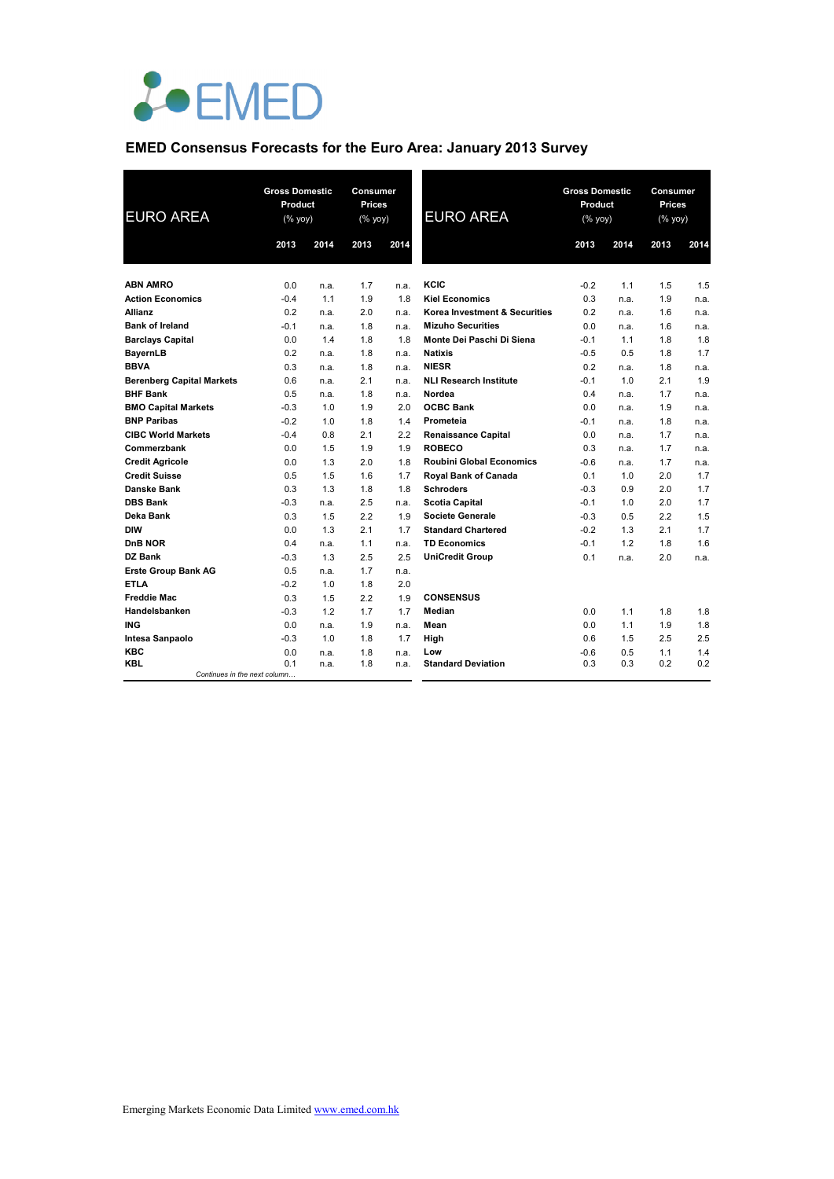

## **EMED Consensus Forecasts for the Euro Area: January 2013 Survey**

| <b>EURO AREA</b>                 | <b>Gross Domestic</b><br>Product<br>(% yoy) |      | <b>Consumer</b><br>Prices<br>$(\%$ yoy) |      | <b>EURO AREA</b>                | <b>Gross Domestic</b><br>Product<br>$(\%$ yoy) |      | Consumer<br>Prices<br>(% yoy) |      |
|----------------------------------|---------------------------------------------|------|-----------------------------------------|------|---------------------------------|------------------------------------------------|------|-------------------------------|------|
|                                  | 2013                                        | 2014 | 2013                                    | 2014 |                                 | 2013                                           | 2014 | 2013                          | 2014 |
| <b>ABN AMRO</b>                  | 0.0                                         | n.a. | 1.7                                     | n.a. | KCIC                            | $-0.2$                                         | 1.1  | 1.5                           | 1.5  |
| <b>Action Economics</b>          | $-0.4$                                      | 1.1  | 1.9                                     | 1.8  | <b>Kiel Economics</b>           | 0.3                                            | n.a. | 1.9                           | n.a. |
| Allianz                          | 0.2                                         | n.a. | 2.0                                     | n.a. | Korea Investment & Securities   | 0.2                                            | n.a. | 1.6                           | n.a. |
| <b>Bank of Ireland</b>           | $-0.1$                                      | n.a. | 1.8                                     | n.a. | <b>Mizuho Securities</b>        | 0.0                                            | n.a. | 1.6                           | n.a. |
| <b>Barclays Capital</b>          | 0.0                                         | 1.4  | 1.8                                     | 1.8  | Monte Dei Paschi Di Siena       | $-0.1$                                         | 1.1  | 1.8                           | 1.8  |
| <b>BayernLB</b>                  | 0.2                                         | n.a. | 1.8                                     | n.a. | <b>Natixis</b>                  | $-0.5$                                         | 0.5  | 1.8                           | 1.7  |
| <b>BBVA</b>                      | 0.3                                         | n.a. | 1.8                                     | n.a. | <b>NIESR</b>                    | 0.2                                            | n.a. | 1.8                           | n.a. |
| <b>Berenberg Capital Markets</b> | 0.6                                         | n.a. | 2.1                                     | n.a. | <b>NLI Research Institute</b>   | $-0.1$                                         | 1.0  | 2.1                           | 1.9  |
| <b>BHF Bank</b>                  | 0.5                                         | n.a. | 1.8                                     | n.a. | Nordea                          | 0.4                                            | n.a. | 1.7                           | n.a. |
| <b>BMO Capital Markets</b>       | $-0.3$                                      | 1.0  | 1.9                                     | 2.0  | <b>OCBC Bank</b>                | 0.0                                            | n.a. | 1.9                           | n.a. |
| <b>BNP Paribas</b>               | $-0.2$                                      | 1.0  | 1.8                                     | 1.4  | Prometeia                       | $-0.1$                                         | n.a. | 1.8                           | n.a. |
| <b>CIBC World Markets</b>        | $-0.4$                                      | 0.8  | 2.1                                     | 2.2  | <b>Renaissance Capital</b>      | 0.0                                            | n.a. | 1.7                           | n.a. |
| Commerzbank                      | 0.0                                         | 1.5  | 1.9                                     | 1.9  | <b>ROBECO</b>                   | 0.3                                            | n.a. | 1.7                           | n.a. |
| <b>Credit Agricole</b>           | 0.0                                         | 1.3  | 2.0                                     | 1.8  | <b>Roubini Global Economics</b> | $-0.6$                                         | n.a. | 1.7                           | n.a. |
| <b>Credit Suisse</b>             | 0.5                                         | 1.5  | 1.6                                     | 1.7  | Royal Bank of Canada            | 0.1                                            | 1.0  | 2.0                           | 1.7  |
| Danske Bank                      | 0.3                                         | 1.3  | 1.8                                     | 1.8  | <b>Schroders</b>                | $-0.3$                                         | 0.9  | 2.0                           | 1.7  |
| <b>DBS Bank</b>                  | $-0.3$                                      | n.a. | 2.5                                     | n.a. | <b>Scotia Capital</b>           | $-0.1$                                         | 1.0  | 2.0                           | 1.7  |
| Deka Bank                        | 0.3                                         | 1.5  | 2.2                                     | 1.9  | <b>Societe Generale</b>         | $-0.3$                                         | 0.5  | 2.2                           | 1.5  |
| <b>DIW</b>                       | 0.0                                         | 1.3  | 2.1                                     | 1.7  | <b>Standard Chartered</b>       | $-0.2$                                         | 1.3  | 2.1                           | 1.7  |
| DnB NOR                          | 0.4                                         | n.a. | 1.1                                     | n.a. | <b>TD Economics</b>             | $-0.1$                                         | 1.2  | 1.8                           | 1.6  |
| DZ Bank                          | $-0.3$                                      | 1.3  | 2.5                                     | 2.5  | <b>UniCredit Group</b>          | 0.1                                            | n.a. | 2.0                           | n.a. |
| <b>Erste Group Bank AG</b>       | 0.5                                         | n.a. | 1.7                                     | n.a. |                                 |                                                |      |                               |      |
| <b>ETLA</b>                      | $-0.2$                                      | 1.0  | 1.8                                     | 2.0  |                                 |                                                |      |                               |      |
| <b>Freddie Mac</b>               | 0.3                                         | 1.5  | 2.2                                     | 1.9  | <b>CONSENSUS</b>                |                                                |      |                               |      |
| Handelsbanken                    | $-0.3$                                      | 1.2  | 1.7                                     | 1.7  | Median                          | 0.0                                            | 1.1  | 1.8                           | 1.8  |
| <b>ING</b>                       | 0.0                                         | n.a. | 1.9                                     | n.a. | Mean                            | 0.0                                            | 1.1  | 1.9                           | 1.8  |
| Intesa Sanpaolo                  | $-0.3$                                      | 1.0  | 1.8                                     | 1.7  | High                            | 0.6                                            | 1.5  | 2.5                           | 2.5  |
| <b>KBC</b>                       | 0.0                                         | n.a. | 1.8                                     | n.a. | Low                             | $-0.6$                                         | 0.5  | 1.1                           | 1.4  |
| <b>KBL</b>                       | 0.1                                         | n.a. | 1.8                                     | n.a. | <b>Standard Deviation</b>       | 0.3                                            | 0.3  | 0.2                           | 0.2  |
| Continues in the next column     |                                             |      |                                         |      |                                 |                                                |      |                               |      |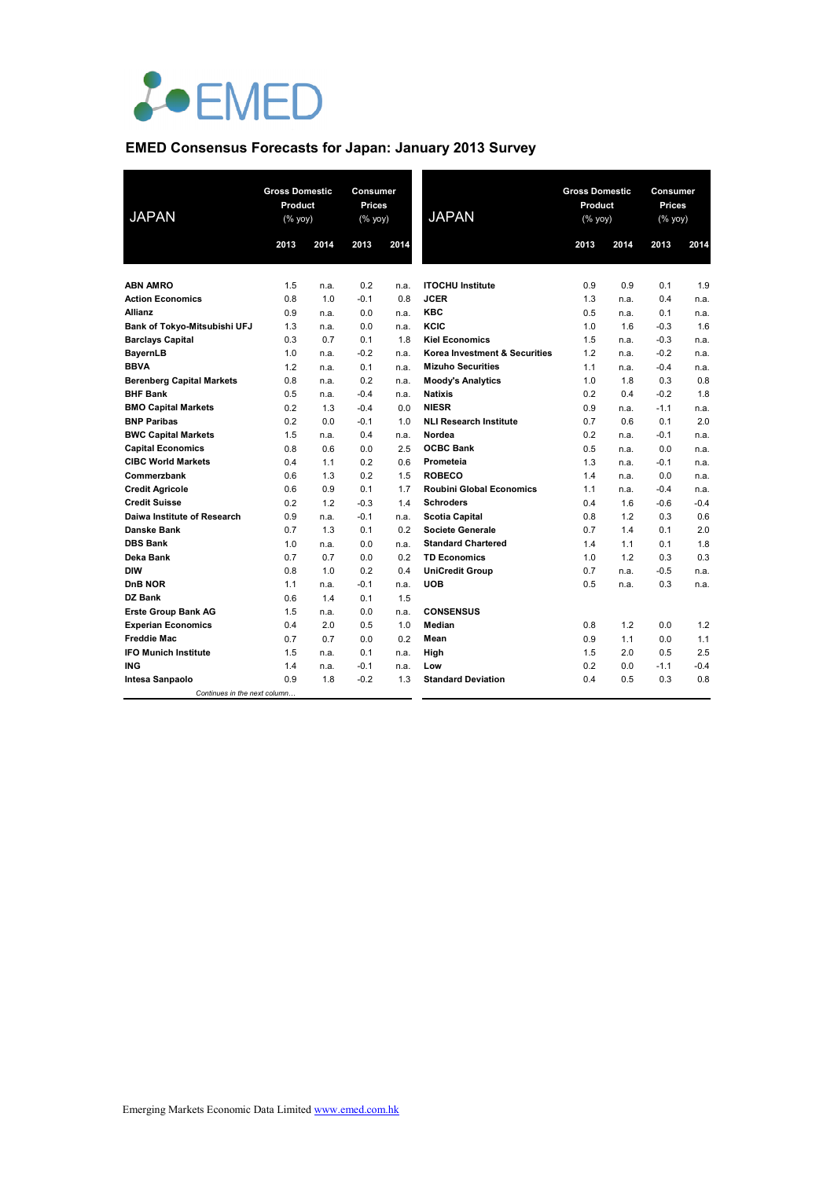

## **EMED Consensus Forecasts for Japan: January 2013 Survey**

| <b>JAPAN</b>                     | <b>Gross Domestic</b><br>Product<br>(% yoy) |      | Consumer<br><b>Prices</b><br>(% yoy) |      | <b>JAPAN</b>                    | <b>Gross Domestic</b><br>Product<br>(% yoy) |      | Consumer<br><b>Prices</b><br>(% yoy) |        |
|----------------------------------|---------------------------------------------|------|--------------------------------------|------|---------------------------------|---------------------------------------------|------|--------------------------------------|--------|
|                                  | 2013                                        | 2014 | 2013                                 | 2014 |                                 | 2013                                        | 2014 | 2013                                 | 2014   |
| <b>ABN AMRO</b>                  | 1.5                                         | n.a. | 0.2                                  | n.a. | <b>ITOCHU Institute</b>         | 0.9                                         | 0.9  | 0.1                                  | 1.9    |
| <b>Action Economics</b>          | 0.8                                         | 1.0  | $-0.1$                               | 0.8  | <b>JCER</b>                     | 1.3                                         | n.a. | 0.4                                  | n.a.   |
| <b>Allianz</b>                   | 0.9                                         | n.a. | 0.0                                  | n.a. | <b>KBC</b>                      | 0.5                                         | n.a. | 0.1                                  | n.a.   |
| Bank of Tokyo-Mitsubishi UFJ     | 1.3                                         | n.a. | 0.0                                  | n.a. | KCIC                            | 1.0                                         | 1.6  | $-0.3$                               | 1.6    |
| <b>Barclays Capital</b>          | 0.3                                         | 0.7  | 0.1                                  | 1.8  | <b>Kiel Economics</b>           | 1.5                                         | n.a. | $-0.3$                               | n.a.   |
| BayernLB                         | 1.0                                         | n.a. | $-0.2$                               | n.a. | Korea Investment & Securities   | 1.2                                         | n.a. | $-0.2$                               | n.a.   |
| <b>BBVA</b>                      | 1.2                                         | n.a. | 0.1                                  | n.a. | <b>Mizuho Securities</b>        | 1.1                                         | n.a. | $-0.4$                               | n.a.   |
| <b>Berenberg Capital Markets</b> | 0.8                                         | n.a. | 0.2                                  | n.a. | <b>Moody's Analytics</b>        | 1.0                                         | 1.8  | 0.3                                  | 0.8    |
| <b>BHF Bank</b>                  | 0.5                                         | n.a. | $-0.4$                               | n.a. | <b>Natixis</b>                  | 0.2                                         | 0.4  | $-0.2$                               | 1.8    |
| <b>BMO Capital Markets</b>       | 0.2                                         | 1.3  | $-0.4$                               | 0.0  | <b>NIESR</b>                    | 0.9                                         | n.a. | $-1.1$                               | n.a.   |
| <b>BNP Paribas</b>               | 0.2                                         | 0.0  | $-0.1$                               | 1.0  | <b>NLI Research Institute</b>   | 0.7                                         | 0.6  | 0.1                                  | 2.0    |
| <b>BWC Capital Markets</b>       | 1.5                                         | n.a. | 0.4                                  | n.a. | Nordea                          | 0.2                                         | n.a. | $-0.1$                               | n.a.   |
| <b>Capital Economics</b>         | 0.8                                         | 0.6  | 0.0                                  | 2.5  | <b>OCBC Bank</b>                | 0.5                                         | n.a. | 0.0                                  | n.a.   |
| <b>CIBC World Markets</b>        | 0.4                                         | 1.1  | 0.2                                  | 0.6  | Prometeia                       | 1.3                                         | n.a. | $-0.1$                               | n.a.   |
| Commerzbank                      | 0.6                                         | 1.3  | 0.2                                  | 1.5  | <b>ROBECO</b>                   | 1.4                                         | n.a. | 0.0                                  | n.a.   |
| <b>Credit Agricole</b>           | 0.6                                         | 0.9  | 0.1                                  | 1.7  | <b>Roubini Global Economics</b> | 1.1                                         | n.a. | $-0.4$                               | n.a.   |
| <b>Credit Suisse</b>             | 0.2                                         | 1.2  | $-0.3$                               | 1.4  | <b>Schroders</b>                | 0.4                                         | 1.6  | $-0.6$                               | $-0.4$ |
| Daiwa Institute of Research      | 0.9                                         | n.a. | $-0.1$                               | n.a. | <b>Scotia Capital</b>           | 0.8                                         | 1.2  | 0.3                                  | 0.6    |
| <b>Danske Bank</b>               | 0.7                                         | 1.3  | 0.1                                  | 0.2  | <b>Societe Generale</b>         | 0.7                                         | 1.4  | 0.1                                  | 2.0    |
| <b>DBS Bank</b>                  | 1.0                                         | n.a. | 0.0                                  | n.a. | <b>Standard Chartered</b>       | 1.4                                         | 1.1  | 0.1                                  | 1.8    |
| Deka Bank                        | 0.7                                         | 0.7  | 0.0                                  | 0.2  | <b>TD Economics</b>             | 1.0                                         | 1.2  | 0.3                                  | 0.3    |
| <b>DIW</b>                       | 0.8                                         | 1.0  | 0.2                                  | 0.4  | <b>UniCredit Group</b>          | 0.7                                         | n.a. | $-0.5$                               | n.a.   |
| DnB NOR                          | 1.1                                         | n.a. | $-0.1$                               | n.a. | <b>UOB</b>                      | 0.5                                         | n.a. | 0.3                                  | n.a.   |
| DZ Bank                          | 0.6                                         | 1.4  | 0.1                                  | 1.5  |                                 |                                             |      |                                      |        |
| <b>Erste Group Bank AG</b>       | 1.5                                         | n.a. | 0.0                                  | n.a. | <b>CONSENSUS</b>                |                                             |      |                                      |        |
| <b>Experian Economics</b>        | 0.4                                         | 2.0  | 0.5                                  | 1.0  | Median                          | 0.8                                         | 1.2  | 0.0                                  | 1.2    |
| <b>Freddie Mac</b>               | 0.7                                         | 0.7  | 0.0                                  | 0.2  | Mean                            | 0.9                                         | 1.1  | 0.0                                  | 1.1    |
| <b>IFO Munich Institute</b>      | 1.5                                         | n.a. | 0.1                                  | n.a. | High                            | 1.5                                         | 2.0  | 0.5                                  | 2.5    |
| <b>ING</b>                       | 1.4                                         | n.a. | $-0.1$                               | n.a. | Low                             | 0.2                                         | 0.0  | $-1.1$                               | $-0.4$ |
| Intesa Sanpaolo                  | 0.9                                         | 1.8  | $-0.2$                               | 1.3  | <b>Standard Deviation</b>       | 0.4                                         | 0.5  | 0.3                                  | 0.8    |
| Continues in the next column     |                                             |      |                                      |      |                                 |                                             |      |                                      |        |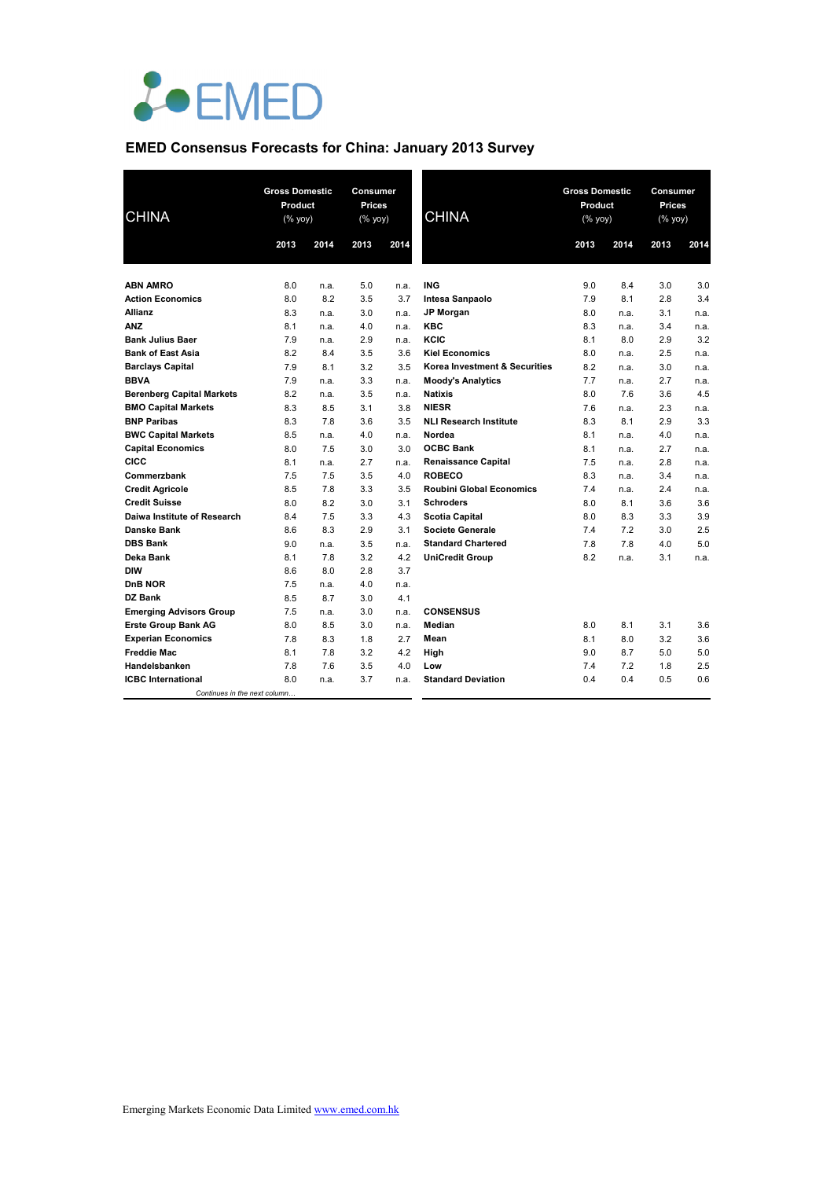

## **EMED Consensus Forecasts for China: January 2013 Survey**

| <b>CHINA</b>                     | <b>Gross Domestic</b><br>Product<br>(% yoy) |      | Consumer<br><b>Prices</b><br>$(% \mathsf{Y}^{\prime }\mathsf{Y}^{\prime }\mathsf{Y}^{\prime })$ |      | <b>CHINA</b>                    | <b>Gross Domestic</b><br>Product<br>(% yoy) |      | Consumer<br><b>Prices</b><br>$(\%$ yoy) |      |
|----------------------------------|---------------------------------------------|------|-------------------------------------------------------------------------------------------------|------|---------------------------------|---------------------------------------------|------|-----------------------------------------|------|
|                                  | 2013                                        | 2014 | 2013                                                                                            | 2014 |                                 | 2013                                        | 2014 | 2013                                    | 2014 |
|                                  |                                             |      |                                                                                                 |      |                                 |                                             |      |                                         |      |
| <b>ABN AMRO</b>                  | 8.0                                         | n.a. | 5.0                                                                                             | n.a. | <b>ING</b>                      | 9.0                                         | 8.4  | 3.0                                     | 3.0  |
| <b>Action Economics</b>          | 8.0                                         | 8.2  | 3.5                                                                                             | 3.7  | Intesa Sanpaolo                 | 7.9                                         | 8.1  | 2.8                                     | 3.4  |
| Allianz                          | 8.3                                         | n.a. | 3.0                                                                                             | n.a. | <b>JP Morgan</b>                | 8.0                                         | n.a. | 3.1                                     | n.a. |
| <b>ANZ</b>                       | 8.1                                         | n.a. | 4.0                                                                                             | n.a. | <b>KBC</b>                      | 8.3                                         | n.a. | 3.4                                     | n.a. |
| <b>Bank Julius Baer</b>          | 7.9                                         | n.a. | 2.9                                                                                             | n.a. | KCIC                            | 8.1                                         | 8.0  | 2.9                                     | 3.2  |
| <b>Bank of East Asia</b>         | 8.2                                         | 8.4  | 3.5                                                                                             | 3.6  | <b>Kiel Economics</b>           | 8.0                                         | n.a. | 2.5                                     | n.a. |
| <b>Barclays Capital</b>          | 7.9                                         | 8.1  | 3.2                                                                                             | 3.5  | Korea Investment & Securities   | 8.2                                         | n.a. | 3.0                                     | n.a. |
| <b>BBVA</b>                      | 7.9                                         | n.a. | 3.3                                                                                             | n.a. | <b>Moody's Analytics</b>        | 7.7                                         | n.a. | 2.7                                     | n.a. |
| <b>Berenberg Capital Markets</b> | 8.2                                         | n.a. | 3.5                                                                                             | n.a. | <b>Natixis</b>                  | 8.0                                         | 7.6  | 3.6                                     | 4.5  |
| <b>BMO Capital Markets</b>       | 8.3                                         | 8.5  | 3.1                                                                                             | 3.8  | <b>NIESR</b>                    | 7.6                                         | n.a. | 2.3                                     | n.a. |
| <b>BNP Paribas</b>               | 8.3                                         | 7.8  | 3.6                                                                                             | 3.5  | <b>NLI Research Institute</b>   | 8.3                                         | 8.1  | 2.9                                     | 3.3  |
| <b>BWC Capital Markets</b>       | 8.5                                         | n.a. | 4.0                                                                                             | n.a. | Nordea                          | 8.1                                         | n.a. | 4.0                                     | n.a. |
| <b>Capital Economics</b>         | 8.0                                         | 7.5  | 3.0                                                                                             | 3.0  | <b>OCBC Bank</b>                | 8.1                                         | n.a. | 2.7                                     | n.a. |
| CICC                             | 8.1                                         | n.a. | 2.7                                                                                             | n.a. | <b>Renaissance Capital</b>      | 7.5                                         | n.a. | 2.8                                     | n.a. |
| Commerzbank                      | 7.5                                         | 7.5  | 3.5                                                                                             | 4.0  | <b>ROBECO</b>                   | 8.3                                         | n.a. | 3.4                                     | n.a. |
| <b>Credit Agricole</b>           | 8.5                                         | 7.8  | 3.3                                                                                             | 3.5  | <b>Roubini Global Economics</b> | 7.4                                         | n.a. | 2.4                                     | n.a. |
| <b>Credit Suisse</b>             | 8.0                                         | 8.2  | 3.0                                                                                             | 3.1  | <b>Schroders</b>                | 8.0                                         | 8.1  | 3.6                                     | 3.6  |
| Daiwa Institute of Research      | 8.4                                         | 7.5  | 3.3                                                                                             | 4.3  | <b>Scotia Capital</b>           | 8.0                                         | 8.3  | 3.3                                     | 3.9  |
| <b>Danske Bank</b>               | 8.6                                         | 8.3  | 2.9                                                                                             | 3.1  | <b>Societe Generale</b>         | 7.4                                         | 7.2  | 3.0                                     | 2.5  |
| <b>DBS Bank</b>                  | 9.0                                         | n.a. | 3.5                                                                                             | n.a. | <b>Standard Chartered</b>       | 7.8                                         | 7.8  | 4.0                                     | 5.0  |
| Deka Bank                        | 8.1                                         | 7.8  | 3.2                                                                                             | 4.2  | <b>UniCredit Group</b>          | 8.2                                         | n.a. | 3.1                                     | n.a. |
| <b>DIW</b>                       | 8.6                                         | 8.0  | 2.8                                                                                             | 3.7  |                                 |                                             |      |                                         |      |
| DnB NOR                          | 7.5                                         | n.a. | 4.0                                                                                             | n.a. |                                 |                                             |      |                                         |      |
| DZ Bank                          | 8.5                                         | 8.7  | 3.0                                                                                             | 4.1  |                                 |                                             |      |                                         |      |
| <b>Emerging Advisors Group</b>   | 7.5                                         | n.a. | 3.0                                                                                             | n.a. | <b>CONSENSUS</b>                |                                             |      |                                         |      |
| <b>Erste Group Bank AG</b>       | 8.0                                         | 8.5  | 3.0                                                                                             | n.a. | Median                          | 8.0                                         | 8.1  | 3.1                                     | 3.6  |
| <b>Experian Economics</b>        | 7.8                                         | 8.3  | 1.8                                                                                             | 2.7  | Mean                            | 8.1                                         | 8.0  | 3.2                                     | 3.6  |
| <b>Freddie Mac</b>               | 8.1                                         | 7.8  | 3.2                                                                                             | 4.2  | High                            | 9.0                                         | 8.7  | 5.0                                     | 5.0  |
| Handelsbanken                    | 7.8                                         | 7.6  | 3.5                                                                                             | 4.0  | Low                             | 7.4                                         | 7.2  | 1.8                                     | 2.5  |
| <b>ICBC</b> International        | 8.0                                         | n.a. | 3.7                                                                                             | n.a. | <b>Standard Deviation</b>       | 0.4                                         | 0.4  | 0.5                                     | 0.6  |
| Continues in the next column     |                                             |      |                                                                                                 |      |                                 |                                             |      |                                         |      |